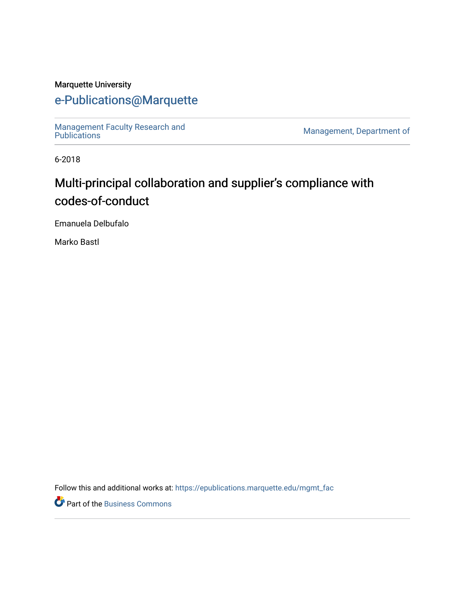## Marquette University

# [e-Publications@Marquette](https://epublications.marquette.edu/)

[Management Faculty Research and](https://epublications.marquette.edu/mgmt_fac)  [Publications](https://epublications.marquette.edu/mgmt_fac) [Management, Department of](https://epublications.marquette.edu/mgmt) 

6-2018

# Multi-principal collaboration and supplier's compliance with codes-of-conduct

Emanuela Delbufalo

Marko Bastl

Follow this and additional works at: [https://epublications.marquette.edu/mgmt\\_fac](https://epublications.marquette.edu/mgmt_fac?utm_source=epublications.marquette.edu%2Fmgmt_fac%2F327&utm_medium=PDF&utm_campaign=PDFCoverPages) 

Part of the [Business Commons](http://network.bepress.com/hgg/discipline/622?utm_source=epublications.marquette.edu%2Fmgmt_fac%2F327&utm_medium=PDF&utm_campaign=PDFCoverPages)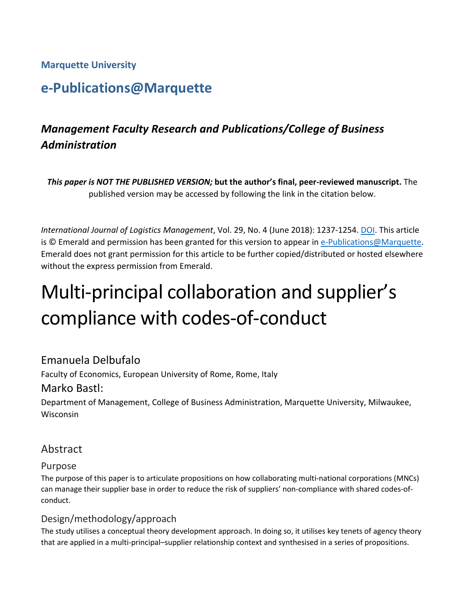# **Marquette University**

# **e-Publications@Marquette**

# *Management Faculty Research and Publications/College of Business Administration*

*This paper is NOT THE PUBLISHED VERSION;* **but the author's final, peer-reviewed manuscript.** The published version may be accessed by following the link in the citation below.

*International Journal of Logistics Management*, Vol. 29, No. 4 (June 2018): 1237-1254. [DOI.](https://www.emerald.com/insight/content/doi/10.1108/IJLM-09-2017-0222/full/html) This article is © Emerald and permission has been granted for this version to appear in [e-Publications@Marquette.](http://epublications.marquette.edu/) Emerald does not grant permission for this article to be further copied/distributed or hosted elsewhere without the express permission from Emerald.

# Multi-principal collaboration and supplier's compliance with codes-of-conduct

# Emanuela Delbufalo

Faculty of Economics, European University of Rome, Rome, Italy

# Marko Bastl:

Department of Management, College of Business Administration, Marquette University, Milwaukee, Wisconsin

# Abstract

## Purpose

The purpose of this paper is to articulate propositions on how collaborating multi-national corporations (MNCs) can manage their supplier base in order to reduce the risk of suppliers' non-compliance with shared codes-ofconduct.

## Design/methodology/approach

The study utilises a conceptual theory development approach. In doing so, it utilises key tenets of agency theory that are applied in a multi-principal–supplier relationship context and synthesised in a series of propositions.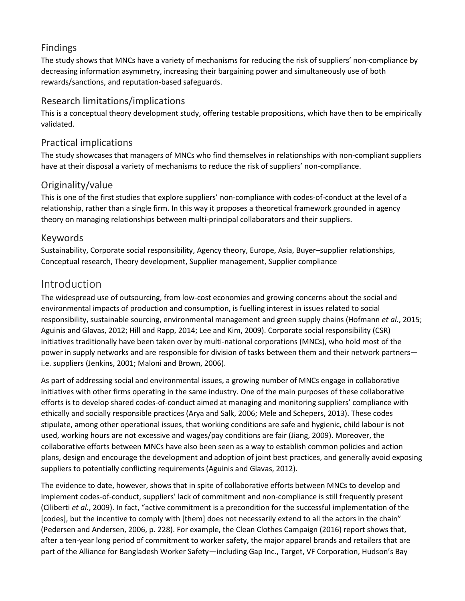## Findings

The study shows that MNCs have a variety of mechanisms for reducing the risk of suppliers' non-compliance by decreasing information asymmetry, increasing their bargaining power and simultaneously use of both rewards/sanctions, and reputation-based safeguards.

# Research limitations/implications

This is a conceptual theory development study, offering testable propositions, which have then to be empirically validated.

# Practical implications

The study showcases that managers of MNCs who find themselves in relationships with non-compliant suppliers have at their disposal a variety of mechanisms to reduce the risk of suppliers' non-compliance.

# Originality/value

This is one of the first studies that explore suppliers' non-compliance with codes-of-conduct at the level of a relationship, rather than a single firm. In this way it proposes a theoretical framework grounded in agency theory on managing relationships between multi-principal collaborators and their suppliers.

## Keywords

Sustainability, Corporate social responsibility, Agency theory, Europe, Asia, Buyer–supplier relationships, Conceptual research, Theory development, Supplier management, Supplier compliance

# Introduction

The widespread use of outsourcing, from low-cost economies and growing concerns about the social and environmental impacts of production and consumption, is fuelling interest in issues related to social responsibility, sustainable sourcing, environmental management and green supply chains (Hofmann *et al.*, 2015; Aguinis and Glavas, 2012; Hill and Rapp, 2014; Lee and Kim, 2009). Corporate social responsibility (CSR) initiatives traditionally have been taken over by multi-national corporations (MNCs), who hold most of the power in supply networks and are responsible for division of tasks between them and their network partners i.e. suppliers (Jenkins, 2001; Maloni and Brown, 2006).

As part of addressing social and environmental issues, a growing number of MNCs engage in collaborative initiatives with other firms operating in the same industry. One of the main purposes of these collaborative efforts is to develop shared codes-of-conduct aimed at managing and monitoring suppliers' compliance with ethically and socially responsible practices (Arya and Salk, 2006; Mele and Schepers, 2013). These codes stipulate, among other operational issues, that working conditions are safe and hygienic, child labour is not used, working hours are not excessive and wages/pay conditions are fair (Jiang, 2009). Moreover, the collaborative efforts between MNCs have also been seen as a way to establish common policies and action plans, design and encourage the development and adoption of joint best practices, and generally avoid exposing suppliers to potentially conflicting requirements (Aguinis and Glavas, 2012).

The evidence to date, however, shows that in spite of collaborative efforts between MNCs to develop and implement codes-of-conduct, suppliers' lack of commitment and non-compliance is still frequently present (Ciliberti *et al.*, 2009). In fact, "active commitment is a precondition for the successful implementation of the [codes], but the incentive to comply with [them] does not necessarily extend to all the actors in the chain" (Pedersen and Andersen, 2006, p. 228). For example, the Clean Clothes Campaign (2016) report shows that, after a ten-year long period of commitment to worker safety, the major apparel brands and retailers that are part of the Alliance for Bangladesh Worker Safety—including Gap Inc., Target, VF Corporation, Hudson's Bay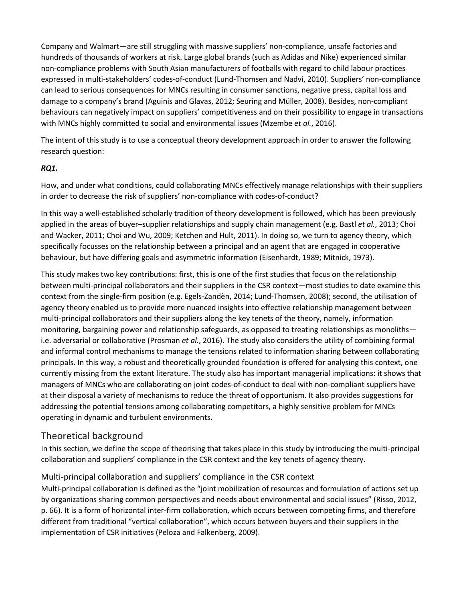Company and Walmart—are still struggling with massive suppliers' non-compliance, unsafe factories and hundreds of thousands of workers at risk. Large global brands (such as Adidas and Nike) experienced similar non-compliance problems with South Asian manufacturers of footballs with regard to child labour practices expressed in multi-stakeholders' codes-of-conduct (Lund-Thomsen and Nadvi, 2010). Suppliers' non-compliance can lead to serious consequences for MNCs resulting in consumer sanctions, negative press, capital loss and damage to a company's brand (Aguinis and Glavas, 2012; Seuring and Müller, 2008). Besides, non-compliant behaviours can negatively impact on suppliers' competitiveness and on their possibility to engage in transactions with MNCs highly committed to social and environmental issues (Mzembe *et al.*, 2016).

The intent of this study is to use a conceptual theory development approach in order to answer the following research question:

#### *RQ1.*

How, and under what conditions, could collaborating MNCs effectively manage relationships with their suppliers in order to decrease the risk of suppliers' non-compliance with codes-of-conduct?

In this way a well-established scholarly tradition of theory development is followed, which has been previously applied in the areas of buyer–supplier relationships and supply chain management (e.g. Bastl *et al.*, 2013; Choi and Wacker, 2011; Choi and Wu, 2009; Ketchen and Hult, 2011). In doing so, we turn to agency theory, which specifically focusses on the relationship between a principal and an agent that are engaged in cooperative behaviour, but have differing goals and asymmetric information (Eisenhardt, 1989; Mitnick, 1973).

This study makes two key contributions: first, this is one of the first studies that focus on the relationship between multi-principal collaborators and their suppliers in the CSR context—most studies to date examine this context from the single-firm position (e.g. Egels-Zandèn, 2014; Lund-Thomsen, 2008); second, the utilisation of agency theory enabled us to provide more nuanced insights into effective relationship management between multi-principal collaborators and their suppliers along the key tenets of the theory, namely, information monitoring, bargaining power and relationship safeguards, as opposed to treating relationships as monoliths i.e. adversarial or collaborative (Prosman *et al.*, 2016). The study also considers the utility of combining formal and informal control mechanisms to manage the tensions related to information sharing between collaborating principals. In this way, a robust and theoretically grounded foundation is offered for analysing this context, one currently missing from the extant literature. The study also has important managerial implications: it shows that managers of MNCs who are collaborating on joint codes-of-conduct to deal with non-compliant suppliers have at their disposal a variety of mechanisms to reduce the threat of opportunism. It also provides suggestions for addressing the potential tensions among collaborating competitors, a highly sensitive problem for MNCs operating in dynamic and turbulent environments.

#### Theoretical background

In this section, we define the scope of theorising that takes place in this study by introducing the multi-principal collaboration and suppliers' compliance in the CSR context and the key tenets of agency theory.

#### Multi-principal collaboration and suppliers' compliance in the CSR context

Multi-principal collaboration is defined as the "joint mobilization of resources and formulation of actions set up by organizations sharing common perspectives and needs about environmental and social issues" (Risso, 2012, p. 66). It is a form of horizontal inter-firm collaboration, which occurs between competing firms, and therefore different from traditional "vertical collaboration", which occurs between buyers and their suppliers in the implementation of CSR initiatives (Peloza and Falkenberg, 2009).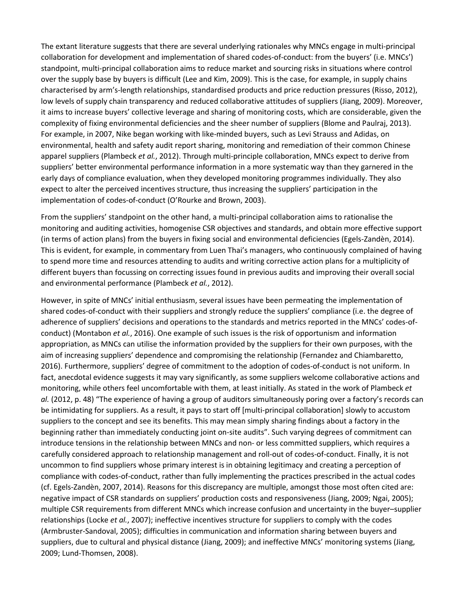The extant literature suggests that there are several underlying rationales why MNCs engage in multi-principal collaboration for development and implementation of shared codes-of-conduct: from the buyers' (i.e. MNCs') standpoint, multi-principal collaboration aims to reduce market and sourcing risks in situations where control over the supply base by buyers is difficult (Lee and Kim, 2009). This is the case, for example, in supply chains characterised by arm's-length relationships, standardised products and price reduction pressures (Risso, 2012), low levels of supply chain transparency and reduced collaborative attitudes of suppliers (Jiang, 2009). Moreover, it aims to increase buyers' collective leverage and sharing of monitoring costs, which are considerable, given the complexity of fixing environmental deficiencies and the sheer number of suppliers (Blome and Paulraj, 2013). For example, in 2007, Nike began working with like-minded buyers, such as Levi Strauss and Adidas, on environmental, health and safety audit report sharing, monitoring and remediation of their common Chinese apparel suppliers (Plambeck *et al.*, 2012). Through multi-principle collaboration, MNCs expect to derive from suppliers' better environmental performance information in a more systematic way than they garnered in the early days of compliance evaluation, when they developed monitoring programmes individually. They also expect to alter the perceived incentives structure, thus increasing the suppliers' participation in the implementation of codes-of-conduct (O'Rourke and Brown, 2003).

From the suppliers' standpoint on the other hand, a multi-principal collaboration aims to rationalise the monitoring and auditing activities, homogenise CSR objectives and standards, and obtain more effective support (in terms of action plans) from the buyers in fixing social and environmental deficiencies (Egels-Zandèn, 2014). This is evident, for example, in commentary from Luen Thai's managers, who continuously complained of having to spend more time and resources attending to audits and writing corrective action plans for a multiplicity of different buyers than focussing on correcting issues found in previous audits and improving their overall social and environmental performance (Plambeck *et al.*, 2012).

However, in spite of MNCs' initial enthusiasm, several issues have been permeating the implementation of shared codes-of-conduct with their suppliers and strongly reduce the suppliers' compliance (i.e. the degree of adherence of suppliers' decisions and operations to the standards and metrics reported in the MNCs' codes-ofconduct) (Montabon *et al.*, 2016). One example of such issues is the risk of opportunism and information appropriation, as MNCs can utilise the information provided by the suppliers for their own purposes, with the aim of increasing suppliers' dependence and compromising the relationship (Fernandez and Chiambaretto, 2016). Furthermore, suppliers' degree of commitment to the adoption of codes-of-conduct is not uniform. In fact, anecdotal evidence suggests it may vary significantly, as some suppliers welcome collaborative actions and monitoring, while others feel uncomfortable with them, at least initially. As stated in the work of Plambeck *et al.* (2012, p. 48) "The experience of having a group of auditors simultaneously poring over a factory's records can be intimidating for suppliers. As a result, it pays to start off [multi-principal collaboration] slowly to accustom suppliers to the concept and see its benefits. This may mean simply sharing findings about a factory in the beginning rather than immediately conducting joint on-site audits". Such varying degrees of commitment can introduce tensions in the relationship between MNCs and non- or less committed suppliers, which requires a carefully considered approach to relationship management and roll-out of codes-of-conduct. Finally, it is not uncommon to find suppliers whose primary interest is in obtaining legitimacy and creating a perception of compliance with codes-of-conduct, rather than fully implementing the practices prescribed in the actual codes (cf. Egels-Zandèn, 2007, 2014). Reasons for this discrepancy are multiple, amongst those most often cited are: negative impact of CSR standards on suppliers' production costs and responsiveness (Jiang, 2009; Ngai, 2005); multiple CSR requirements from different MNCs which increase confusion and uncertainty in the buyer–supplier relationships (Locke *et al.*, 2007); ineffective incentives structure for suppliers to comply with the codes (Armbruster-Sandoval, 2005); difficulties in communication and information sharing between buyers and suppliers, due to cultural and physical distance (Jiang, 2009); and ineffective MNCs' monitoring systems (Jiang, 2009; Lund-Thomsen, 2008).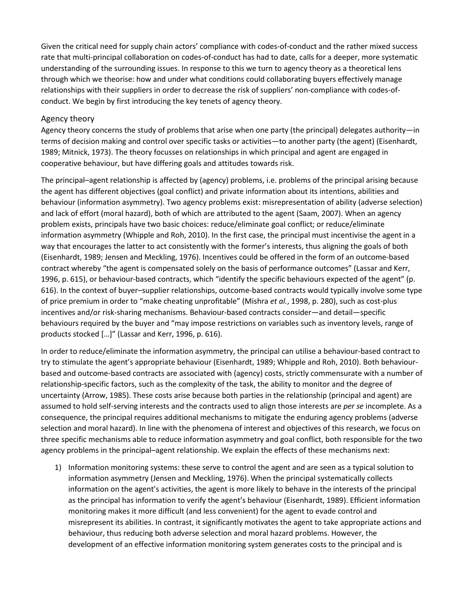Given the critical need for supply chain actors' compliance with codes-of-conduct and the rather mixed success rate that multi-principal collaboration on codes-of-conduct has had to date, calls for a deeper, more systematic understanding of the surrounding issues. In response to this we turn to agency theory as a theoretical lens through which we theorise: how and under what conditions could collaborating buyers effectively manage relationships with their suppliers in order to decrease the risk of suppliers' non-compliance with codes-ofconduct. We begin by first introducing the key tenets of agency theory.

#### Agency theory

Agency theory concerns the study of problems that arise when one party (the principal) delegates authority—in terms of decision making and control over specific tasks or activities—to another party (the agent) (Eisenhardt, 1989; Mitnick, 1973). The theory focusses on relationships in which principal and agent are engaged in cooperative behaviour, but have differing goals and attitudes towards risk.

The principal–agent relationship is affected by (agency) problems, i.e. problems of the principal arising because the agent has different objectives (goal conflict) and private information about its intentions, abilities and behaviour (information asymmetry). Two agency problems exist: misrepresentation of ability (adverse selection) and lack of effort (moral hazard), both of which are attributed to the agent (Saam, 2007). When an agency problem exists, principals have two basic choices: reduce/eliminate goal conflict; or reduce/eliminate information asymmetry (Whipple and Roh, 2010). In the first case, the principal must incentivise the agent in a way that encourages the latter to act consistently with the former's interests, thus aligning the goals of both (Eisenhardt, 1989; Jensen and Meckling, 1976). Incentives could be offered in the form of an outcome-based contract whereby "the agent is compensated solely on the basis of performance outcomes" (Lassar and Kerr, 1996, p. 615), or behaviour-based contracts, which "identify the specific behaviours expected of the agent" (p. 616). In the context of buyer–supplier relationships, outcome-based contracts would typically involve some type of price premium in order to "make cheating unprofitable" (Mishra *et al.*, 1998, p. 280), such as cost-plus incentives and/or risk-sharing mechanisms. Behaviour-based contracts consider—and detail—specific behaviours required by the buyer and "may impose restrictions on variables such as inventory levels, range of products stocked […]" (Lassar and Kerr, 1996, p. 616).

In order to reduce/eliminate the information asymmetry, the principal can utilise a behaviour-based contract to try to stimulate the agent's appropriate behaviour (Eisenhardt, 1989; Whipple and Roh, 2010). Both behaviourbased and outcome-based contracts are associated with (agency) costs, strictly commensurate with a number of relationship-specific factors, such as the complexity of the task, the ability to monitor and the degree of uncertainty (Arrow, 1985). These costs arise because both parties in the relationship (principal and agent) are assumed to hold self-serving interests and the contracts used to align those interests are *per se* incomplete. As a consequence, the principal requires additional mechanisms to mitigate the enduring agency problems (adverse selection and moral hazard). In line with the phenomena of interest and objectives of this research, we focus on three specific mechanisms able to reduce information asymmetry and goal conflict, both responsible for the two agency problems in the principal–agent relationship. We explain the effects of these mechanisms next:

1) Information monitoring systems: these serve to control the agent and are seen as a typical solution to information asymmetry (Jensen and Meckling, 1976). When the principal systematically collects information on the agent's activities, the agent is more likely to behave in the interests of the principal as the principal has information to verify the agent's behaviour (Eisenhardt, 1989). Efficient information monitoring makes it more difficult (and less convenient) for the agent to evade control and misrepresent its abilities. In contrast, it significantly motivates the agent to take appropriate actions and behaviour, thus reducing both adverse selection and moral hazard problems. However, the development of an effective information monitoring system generates costs to the principal and is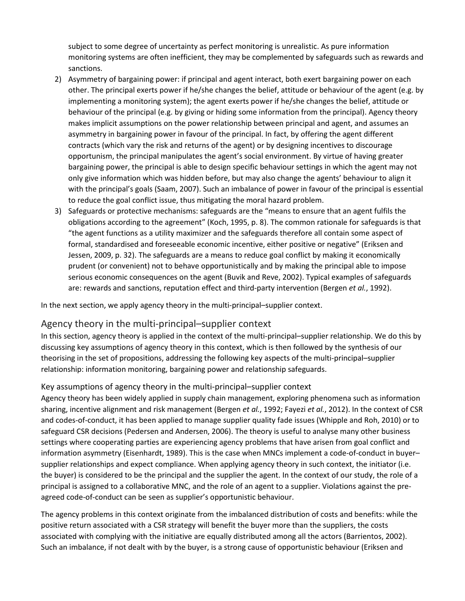subject to some degree of uncertainty as perfect monitoring is unrealistic. As pure information monitoring systems are often inefficient, they may be complemented by safeguards such as rewards and sanctions.

- 2) Asymmetry of bargaining power: if principal and agent interact, both exert bargaining power on each other. The principal exerts power if he/she changes the belief, attitude or behaviour of the agent (e.g. by implementing a monitoring system); the agent exerts power if he/she changes the belief, attitude or behaviour of the principal (e.g. by giving or hiding some information from the principal). Agency theory makes implicit assumptions on the power relationship between principal and agent, and assumes an asymmetry in bargaining power in favour of the principal. In fact, by offering the agent different contracts (which vary the risk and returns of the agent) or by designing incentives to discourage opportunism, the principal manipulates the agent's social environment. By virtue of having greater bargaining power, the principal is able to design specific behaviour settings in which the agent may not only give information which was hidden before, but may also change the agents' behaviour to align it with the principal's goals (Saam, 2007). Such an imbalance of power in favour of the principal is essential to reduce the goal conflict issue, thus mitigating the moral hazard problem.
- 3) Safeguards or protective mechanisms: safeguards are the "means to ensure that an agent fulfils the obligations according to the agreement" (Koch, 1995, p. 8). The common rationale for safeguards is that "the agent functions as a utility maximizer and the safeguards therefore all contain some aspect of formal, standardised and foreseeable economic incentive, either positive or negative" (Eriksen and Jessen, 2009, p. 32). The safeguards are a means to reduce goal conflict by making it economically prudent (or convenient) not to behave opportunistically and by making the principal able to impose serious economic consequences on the agent (Buvik and Reve, 2002). Typical examples of safeguards are: rewards and sanctions, reputation effect and third-party intervention (Bergen *et al.*, 1992).

In the next section, we apply agency theory in the multi-principal–supplier context.

#### Agency theory in the multi-principal–supplier context

In this section, agency theory is applied in the context of the multi-principal–supplier relationship. We do this by discussing key assumptions of agency theory in this context, which is then followed by the synthesis of our theorising in the set of propositions, addressing the following key aspects of the multi-principal–supplier relationship: information monitoring, bargaining power and relationship safeguards.

#### Key assumptions of agency theory in the multi-principal–supplier context

Agency theory has been widely applied in supply chain management, exploring phenomena such as information sharing, incentive alignment and risk management (Bergen *et al.*, 1992; Fayezi *et al.*, 2012). In the context of CSR and codes-of-conduct, it has been applied to manage supplier quality fade issues (Whipple and Roh, 2010) or to safeguard CSR decisions (Pedersen and Andersen, 2006). The theory is useful to analyse many other business settings where cooperating parties are experiencing agency problems that have arisen from goal conflict and information asymmetry (Eisenhardt, 1989). This is the case when MNCs implement a code-of-conduct in buyer– supplier relationships and expect compliance. When applying agency theory in such context, the initiator (i.e. the buyer) is considered to be the principal and the supplier the agent. In the context of our study, the role of a principal is assigned to a collaborative MNC, and the role of an agent to a supplier. Violations against the preagreed code-of-conduct can be seen as supplier's opportunistic behaviour.

The agency problems in this context originate from the imbalanced distribution of costs and benefits: while the positive return associated with a CSR strategy will benefit the buyer more than the suppliers, the costs associated with complying with the initiative are equally distributed among all the actors (Barrientos, 2002). Such an imbalance, if not dealt with by the buyer, is a strong cause of opportunistic behaviour (Eriksen and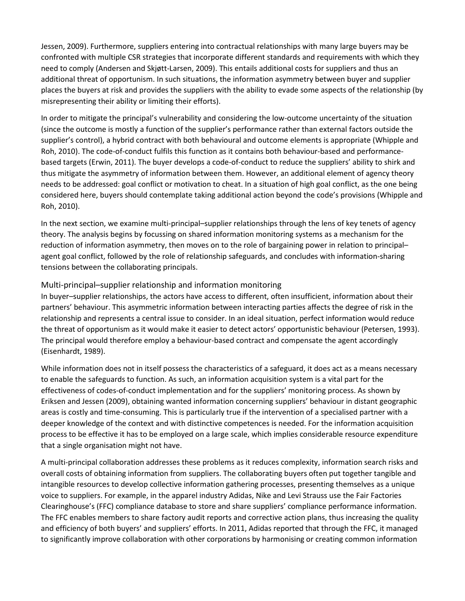Jessen, 2009). Furthermore, suppliers entering into contractual relationships with many large buyers may be confronted with multiple CSR strategies that incorporate different standards and requirements with which they need to comply (Andersen and Skjøtt-Larsen, 2009). This entails additional costs for suppliers and thus an additional threat of opportunism. In such situations, the information asymmetry between buyer and supplier places the buyers at risk and provides the suppliers with the ability to evade some aspects of the relationship (by misrepresenting their ability or limiting their efforts).

In order to mitigate the principal's vulnerability and considering the low-outcome uncertainty of the situation (since the outcome is mostly a function of the supplier's performance rather than external factors outside the supplier's control), a hybrid contract with both behavioural and outcome elements is appropriate (Whipple and Roh, 2010). The code-of-conduct fulfils this function as it contains both behaviour-based and performancebased targets (Erwin, 2011). The buyer develops a code-of-conduct to reduce the suppliers' ability to shirk and thus mitigate the asymmetry of information between them. However, an additional element of agency theory needs to be addressed: goal conflict or motivation to cheat. In a situation of high goal conflict, as the one being considered here, buyers should contemplate taking additional action beyond the code's provisions (Whipple and Roh, 2010).

In the next section, we examine multi-principal–supplier relationships through the lens of key tenets of agency theory. The analysis begins by focussing on shared information monitoring systems as a mechanism for the reduction of information asymmetry, then moves on to the role of bargaining power in relation to principal– agent goal conflict, followed by the role of relationship safeguards, and concludes with information-sharing tensions between the collaborating principals.

#### Multi-principal–supplier relationship and information monitoring

In buyer–supplier relationships, the actors have access to different, often insufficient, information about their partners' behaviour. This asymmetric information between interacting parties affects the degree of risk in the relationship and represents a central issue to consider. In an ideal situation, perfect information would reduce the threat of opportunism as it would make it easier to detect actors' opportunistic behaviour (Petersen, 1993). The principal would therefore employ a behaviour-based contract and compensate the agent accordingly (Eisenhardt, 1989).

While information does not in itself possess the characteristics of a safeguard, it does act as a means necessary to enable the safeguards to function. As such, an information acquisition system is a vital part for the effectiveness of codes-of-conduct implementation and for the suppliers' monitoring process. As shown by Eriksen and Jessen (2009), obtaining wanted information concerning suppliers' behaviour in distant geographic areas is costly and time-consuming. This is particularly true if the intervention of a specialised partner with a deeper knowledge of the context and with distinctive competences is needed. For the information acquisition process to be effective it has to be employed on a large scale, which implies considerable resource expenditure that a single organisation might not have.

A multi-principal collaboration addresses these problems as it reduces complexity, information search risks and overall costs of obtaining information from suppliers. The collaborating buyers often put together tangible and intangible resources to develop collective information gathering processes, presenting themselves as a unique voice to suppliers. For example, in the apparel industry Adidas, Nike and Levi Strauss use the Fair Factories Clearinghouse's (FFC) compliance database to store and share suppliers' compliance performance information. The FFC enables members to share factory audit reports and corrective action plans, thus increasing the quality and efficiency of both buyers' and suppliers' efforts. In 2011, Adidas reported that through the FFC, it managed to significantly improve collaboration with other corporations by harmonising or creating common information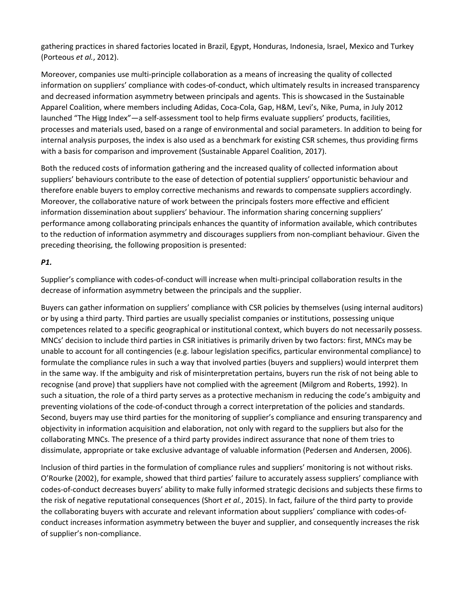gathering practices in shared factories located in Brazil, Egypt, Honduras, Indonesia, Israel, Mexico and Turkey (Porteous *et al.*, 2012).

Moreover, companies use multi-principle collaboration as a means of increasing the quality of collected information on suppliers' compliance with codes-of-conduct, which ultimately results in increased transparency and decreased information asymmetry between principals and agents. This is showcased in the Sustainable Apparel Coalition, where members including Adidas, Coca-Cola, Gap, H&M, Levi's, Nike, Puma, in July 2012 launched "The Higg Index"—a self-assessment tool to help firms evaluate suppliers' products, facilities, processes and materials used, based on a range of environmental and social parameters. In addition to being for internal analysis purposes, the index is also used as a benchmark for existing CSR schemes, thus providing firms with a basis for comparison and improvement (Sustainable Apparel Coalition, 2017).

Both the reduced costs of information gathering and the increased quality of collected information about suppliers' behaviours contribute to the ease of detection of potential suppliers' opportunistic behaviour and therefore enable buyers to employ corrective mechanisms and rewards to compensate suppliers accordingly. Moreover, the collaborative nature of work between the principals fosters more effective and efficient information dissemination about suppliers' behaviour. The information sharing concerning suppliers' performance among collaborating principals enhances the quantity of information available, which contributes to the reduction of information asymmetry and discourages suppliers from non-compliant behaviour. Given the preceding theorising, the following proposition is presented:

#### *P1.*

Supplier's compliance with codes-of-conduct will increase when multi-principal collaboration results in the decrease of information asymmetry between the principals and the supplier.

Buyers can gather information on suppliers' compliance with CSR policies by themselves (using internal auditors) or by using a third party. Third parties are usually specialist companies or institutions, possessing unique competences related to a specific geographical or institutional context, which buyers do not necessarily possess. MNCs' decision to include third parties in CSR initiatives is primarily driven by two factors: first, MNCs may be unable to account for all contingencies (e.g. labour legislation specifics, particular environmental compliance) to formulate the compliance rules in such a way that involved parties (buyers and suppliers) would interpret them in the same way. If the ambiguity and risk of misinterpretation pertains, buyers run the risk of not being able to recognise (and prove) that suppliers have not complied with the agreement (Milgrom and Roberts, 1992). In such a situation, the role of a third party serves as a protective mechanism in reducing the code's ambiguity and preventing violations of the code-of-conduct through a correct interpretation of the policies and standards. Second, buyers may use third parties for the monitoring of supplier's compliance and ensuring transparency and objectivity in information acquisition and elaboration, not only with regard to the suppliers but also for the collaborating MNCs. The presence of a third party provides indirect assurance that none of them tries to dissimulate, appropriate or take exclusive advantage of valuable information (Pedersen and Andersen, 2006).

Inclusion of third parties in the formulation of compliance rules and suppliers' monitoring is not without risks. O'Rourke (2002), for example, showed that third parties' failure to accurately assess suppliers' compliance with codes-of-conduct decreases buyers' ability to make fully informed strategic decisions and subjects these firms to the risk of negative reputational consequences (Short *et al.*, 2015). In fact, failure of the third party to provide the collaborating buyers with accurate and relevant information about suppliers' compliance with codes-ofconduct increases information asymmetry between the buyer and supplier, and consequently increases the risk of supplier's non-compliance.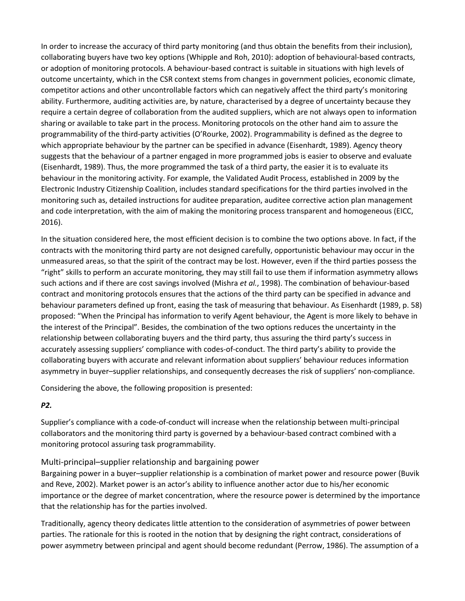In order to increase the accuracy of third party monitoring (and thus obtain the benefits from their inclusion), collaborating buyers have two key options (Whipple and Roh, 2010): adoption of behavioural-based contracts, or adoption of monitoring protocols. A behaviour-based contract is suitable in situations with high levels of outcome uncertainty, which in the CSR context stems from changes in government policies, economic climate, competitor actions and other uncontrollable factors which can negatively affect the third party's monitoring ability. Furthermore, auditing activities are, by nature, characterised by a degree of uncertainty because they require a certain degree of collaboration from the audited suppliers, which are not always open to information sharing or available to take part in the process. Monitoring protocols on the other hand aim to assure the programmability of the third-party activities (O'Rourke, 2002). Programmability is defined as the degree to which appropriate behaviour by the partner can be specified in advance (Eisenhardt, 1989). Agency theory suggests that the behaviour of a partner engaged in more programmed jobs is easier to observe and evaluate (Eisenhardt, 1989). Thus, the more programmed the task of a third party, the easier it is to evaluate its behaviour in the monitoring activity. For example, the Validated Audit Process, established in 2009 by the Electronic Industry Citizenship Coalition, includes standard specifications for the third parties involved in the monitoring such as, detailed instructions for auditee preparation, auditee corrective action plan management and code interpretation, with the aim of making the monitoring process transparent and homogeneous (EICC, 2016).

In the situation considered here, the most efficient decision is to combine the two options above. In fact, if the contracts with the monitoring third party are not designed carefully, opportunistic behaviour may occur in the unmeasured areas, so that the spirit of the contract may be lost. However, even if the third parties possess the "right" skills to perform an accurate monitoring, they may still fail to use them if information asymmetry allows such actions and if there are cost savings involved (Mishra *et al.*, 1998). The combination of behaviour-based contract and monitoring protocols ensures that the actions of the third party can be specified in advance and behaviour parameters defined up front, easing the task of measuring that behaviour. As Eisenhardt (1989, p. 58) proposed: "When the Principal has information to verify Agent behaviour, the Agent is more likely to behave in the interest of the Principal". Besides, the combination of the two options reduces the uncertainty in the relationship between collaborating buyers and the third party, thus assuring the third party's success in accurately assessing suppliers' compliance with codes-of-conduct. The third party's ability to provide the collaborating buyers with accurate and relevant information about suppliers' behaviour reduces information asymmetry in buyer–supplier relationships, and consequently decreases the risk of suppliers' non-compliance.

Considering the above, the following proposition is presented:

#### *P2.*

Supplier's compliance with a code-of-conduct will increase when the relationship between multi-principal collaborators and the monitoring third party is governed by a behaviour-based contract combined with a monitoring protocol assuring task programmability.

#### Multi-principal–supplier relationship and bargaining power

Bargaining power in a buyer–supplier relationship is a combination of market power and resource power (Buvik and Reve, 2002). Market power is an actor's ability to influence another actor due to his/her economic importance or the degree of market concentration, where the resource power is determined by the importance that the relationship has for the parties involved.

Traditionally, agency theory dedicates little attention to the consideration of asymmetries of power between parties. The rationale for this is rooted in the notion that by designing the right contract, considerations of power asymmetry between principal and agent should become redundant (Perrow, 1986). The assumption of a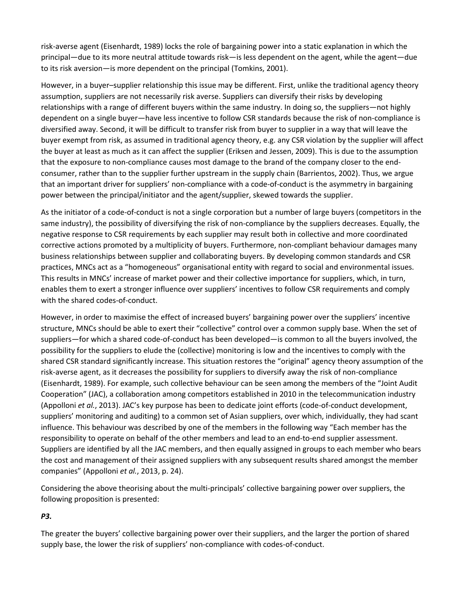risk-averse agent (Eisenhardt, 1989) locks the role of bargaining power into a static explanation in which the principal—due to its more neutral attitude towards risk—is less dependent on the agent, while the agent—due to its risk aversion—is more dependent on the principal (Tomkins, 2001).

However, in a buyer–supplier relationship this issue may be different. First, unlike the traditional agency theory assumption, suppliers are not necessarily risk averse. Suppliers can diversify their risks by developing relationships with a range of different buyers within the same industry. In doing so, the suppliers—not highly dependent on a single buyer—have less incentive to follow CSR standards because the risk of non-compliance is diversified away. Second, it will be difficult to transfer risk from buyer to supplier in a way that will leave the buyer exempt from risk, as assumed in traditional agency theory, e.g. any CSR violation by the supplier will affect the buyer at least as much as it can affect the supplier (Eriksen and Jessen, 2009). This is due to the assumption that the exposure to non-compliance causes most damage to the brand of the company closer to the endconsumer, rather than to the supplier further upstream in the supply chain (Barrientos, 2002). Thus, we argue that an important driver for suppliers' non-compliance with a code-of-conduct is the asymmetry in bargaining power between the principal/initiator and the agent/supplier, skewed towards the supplier.

As the initiator of a code-of-conduct is not a single corporation but a number of large buyers (competitors in the same industry), the possibility of diversifying the risk of non-compliance by the suppliers decreases. Equally, the negative response to CSR requirements by each supplier may result both in collective and more coordinated corrective actions promoted by a multiplicity of buyers. Furthermore, non-compliant behaviour damages many business relationships between supplier and collaborating buyers. By developing common standards and CSR practices, MNCs act as a "homogeneous" organisational entity with regard to social and environmental issues. This results in MNCs' increase of market power and their collective importance for suppliers, which, in turn, enables them to exert a stronger influence over suppliers' incentives to follow CSR requirements and comply with the shared codes-of-conduct.

However, in order to maximise the effect of increased buyers' bargaining power over the suppliers' incentive structure, MNCs should be able to exert their "collective" control over a common supply base. When the set of suppliers—for which a shared code-of-conduct has been developed—is common to all the buyers involved, the possibility for the suppliers to elude the (collective) monitoring is low and the incentives to comply with the shared CSR standard significantly increase. This situation restores the "original" agency theory assumption of the risk-averse agent, as it decreases the possibility for suppliers to diversify away the risk of non-compliance (Eisenhardt, 1989). For example, such collective behaviour can be seen among the members of the "Joint Audit Cooperation" (JAC), a collaboration among competitors established in 2010 in the telecommunication industry (Appolloni *et al.*, 2013). JAC's key purpose has been to dedicate joint efforts (code-of-conduct development, suppliers' monitoring and auditing) to a common set of Asian suppliers, over which, individually, they had scant influence. This behaviour was described by one of the members in the following way "Each member has the responsibility to operate on behalf of the other members and lead to an end-to-end supplier assessment. Suppliers are identified by all the JAC members, and then equally assigned in groups to each member who bears the cost and management of their assigned suppliers with any subsequent results shared amongst the member companies" (Appolloni *et al.*, 2013, p. 24).

Considering the above theorising about the multi-principals' collective bargaining power over suppliers, the following proposition is presented:

#### *P3.*

The greater the buyers' collective bargaining power over their suppliers, and the larger the portion of shared supply base, the lower the risk of suppliers' non-compliance with codes-of-conduct.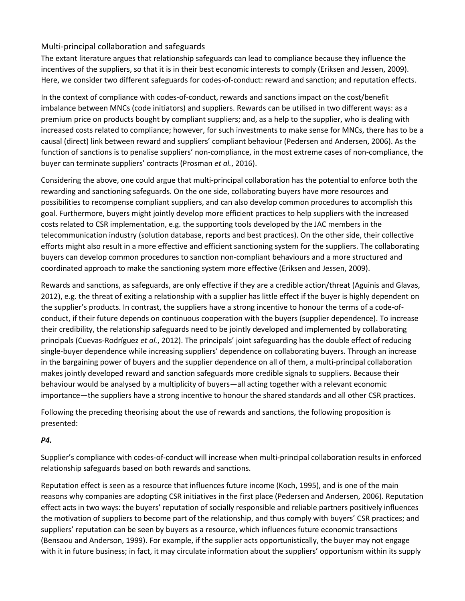#### Multi-principal collaboration and safeguards

The extant literature argues that relationship safeguards can lead to compliance because they influence the incentives of the suppliers, so that it is in their best economic interests to comply (Eriksen and Jessen, 2009). Here, we consider two different safeguards for codes-of-conduct: reward and sanction; and reputation effects.

In the context of compliance with codes-of-conduct, rewards and sanctions impact on the cost/benefit imbalance between MNCs (code initiators) and suppliers. Rewards can be utilised in two different ways: as a premium price on products bought by compliant suppliers; and, as a help to the supplier, who is dealing with increased costs related to compliance; however, for such investments to make sense for MNCs, there has to be a causal (direct) link between reward and suppliers' compliant behaviour (Pedersen and Andersen, 2006). As the function of sanctions is to penalise suppliers' non-compliance, in the most extreme cases of non-compliance, the buyer can terminate suppliers' contracts (Prosman *et al.*, 2016).

Considering the above, one could argue that multi-principal collaboration has the potential to enforce both the rewarding and sanctioning safeguards. On the one side, collaborating buyers have more resources and possibilities to recompense compliant suppliers, and can also develop common procedures to accomplish this goal. Furthermore, buyers might jointly develop more efficient practices to help suppliers with the increased costs related to CSR implementation, e.g. the supporting tools developed by the JAC members in the telecommunication industry (solution database, reports and best practices). On the other side, their collective efforts might also result in a more effective and efficient sanctioning system for the suppliers. The collaborating buyers can develop common procedures to sanction non-compliant behaviours and a more structured and coordinated approach to make the sanctioning system more effective (Eriksen and Jessen, 2009).

Rewards and sanctions, as safeguards, are only effective if they are a credible action/threat (Aguinis and Glavas, 2012), e.g. the threat of exiting a relationship with a supplier has little effect if the buyer is highly dependent on the supplier's products. In contrast, the suppliers have a strong incentive to honour the terms of a code-ofconduct, if their future depends on continuous cooperation with the buyers (supplier dependence). To increase their credibility, the relationship safeguards need to be jointly developed and implemented by collaborating principals (Cuevas-Rodríguez *et al.*, 2012). The principals' joint safeguarding has the double effect of reducing single-buyer dependence while increasing suppliers' dependence on collaborating buyers. Through an increase in the bargaining power of buyers and the supplier dependence on all of them, a multi-principal collaboration makes jointly developed reward and sanction safeguards more credible signals to suppliers. Because their behaviour would be analysed by a multiplicity of buyers—all acting together with a relevant economic importance—the suppliers have a strong incentive to honour the shared standards and all other CSR practices.

Following the preceding theorising about the use of rewards and sanctions, the following proposition is presented:

#### *P4.*

Supplier's compliance with codes-of-conduct will increase when multi-principal collaboration results in enforced relationship safeguards based on both rewards and sanctions.

Reputation effect is seen as a resource that influences future income (Koch, 1995), and is one of the main reasons why companies are adopting CSR initiatives in the first place (Pedersen and Andersen, 2006). Reputation effect acts in two ways: the buyers' reputation of socially responsible and reliable partners positively influences the motivation of suppliers to become part of the relationship, and thus comply with buyers' CSR practices; and suppliers' reputation can be seen by buyers as a resource, which influences future economic transactions (Bensaou and Anderson, 1999). For example, if the supplier acts opportunistically, the buyer may not engage with it in future business; in fact, it may circulate information about the suppliers' opportunism within its supply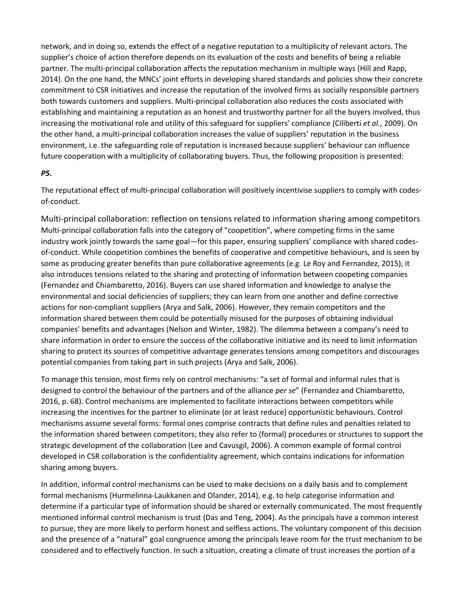network, and in doing so, extends the effect of a negative reputation to a multiplicity of relevant actors. The supplier's choice of action therefore depends on its evaluation of the costs and benefits of being a reliable partner. The multi-principal collaboration affects the reputation mechanism in multiple ways (Hill and Rapp, 2014). On the one hand, the MNCs' joint efforts in developing shared standards and policies show their concrete commitment to CSR initiatives and increase the reputation of the involved firms as socially responsible partners both towards customers and suppliers. Multi-principal collaboration also reduces the costs associated with establishing and maintaining a reputation as an honest and trustworthy partner for all the buyers involved, thus increasing the motivational role and utility of this safeguard for suppliers' compliance (Ciliberti *et al.*, 2009). On the other hand, a multi-principal collaboration increases the value of suppliers' reputation in the business environment, i.e. the safeguarding role of reputation is increased because suppliers' behaviour can influence future cooperation with a multiplicity of collaborating buyers. Thus, the following proposition is presented:

#### *P5.*

The reputational effect of multi-principal collaboration will positively incentivise suppliers to comply with codesof-conduct.

Multi-principal collaboration: reflection on tensions related to information sharing among competitors Multi-principal collaboration falls into the category of "coopetition", where competing firms in the same industry work jointly towards the same goal—for this paper, ensuring suppliers' compliance with shared codesof-conduct. While coopetition combines the benefits of cooperative and competitive behaviours, and is seen by some as producing greater benefits than pure collaborative agreements (e.g. Le Roy and Fernandez, 2015), it also introduces tensions related to the sharing and protecting of information between coopeting companies (Fernandez and Chiambaretto, 2016). Buyers can use shared information and knowledge to analyse the environmental and social deficiencies of suppliers; they can learn from one another and define corrective actions for non-compliant suppliers (Arya and Salk, 2006). However, they remain competitors and the information shared between them could be potentially misused for the purposes of obtaining individual companies' benefits and advantages (Nelson and Winter, 1982). The dilemma between a company's need to share information in order to ensure the success of the collaborative initiative and its need to limit information sharing to protect its sources of competitive advantage generates tensions among competitors and discourages potential companies from taking part in such projects (Arya and Salk, 2006).

To manage this tension, most firms rely on control mechanisms: "a set of formal and informal rules that is designed to control the behaviour of the partners and of the alliance *per se*" (Fernandez and Chiambaretto, 2016, p. 68). Control mechanisms are implemented to facilitate interactions between competitors while increasing the incentives for the partner to eliminate (or at least reduce) opportunistic behaviours. Control mechanisms assume several forms: formal ones comprise contracts that define rules and penalties related to the information shared between competitors; they also refer to (formal) procedures or structures to support the strategic development of the collaboration (Lee and Cavusgil, 2006). A common example of formal control developed in CSR collaboration is the confidentiality agreement, which contains indications for information sharing among buyers.

In addition, informal control mechanisms can be used to make decisions on a daily basis and to complement formal mechanisms (Hurmelinna-Laukkanen and Olander, 2014), e.g. to help categorise information and determine if a particular type of information should be shared or externally communicated. The most frequently mentioned informal control mechanism is trust (Das and Teng, 2004). As the principals have a common interest to pursue, they are more likely to perform honest and selfless actions. The voluntary component of this decision and the presence of a "natural" goal congruence among the principals leave room for the trust mechanism to be considered and to effectively function. In such a situation, creating a climate of trust increases the portion of a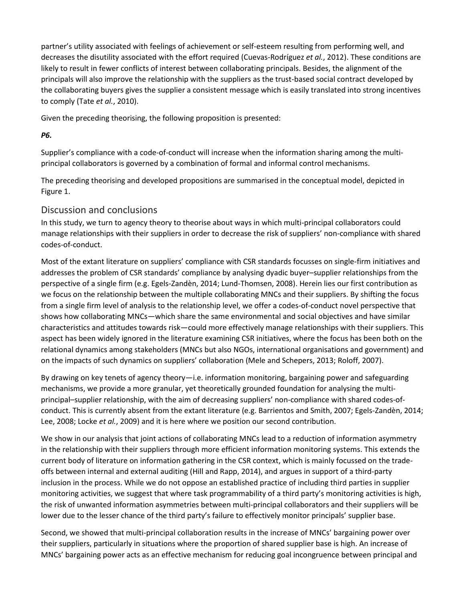partner's utility associated with feelings of achievement or self-esteem resulting from performing well, and decreases the disutility associated with the effort required (Cuevas-Rodríguez *et al.*, 2012). These conditions are likely to result in fewer conflicts of interest between collaborating principals. Besides, the alignment of the principals will also improve the relationship with the suppliers as the trust-based social contract developed by the collaborating buyers gives the supplier a consistent message which is easily translated into strong incentives to comply (Tate *et al.*, 2010).

Given the preceding theorising, the following proposition is presented:

#### *P6.*

Supplier's compliance with a code-of-conduct will increase when the information sharing among the multiprincipal collaborators is governed by a combination of formal and informal control mechanisms.

The preceding theorising and developed propositions are summarised in the conceptual model, depicted in Figure 1.

#### Discussion and conclusions

In this study, we turn to agency theory to theorise about ways in which multi-principal collaborators could manage relationships with their suppliers in order to decrease the risk of suppliers' non-compliance with shared codes-of-conduct.

Most of the extant literature on suppliers' compliance with CSR standards focusses on single-firm initiatives and addresses the problem of CSR standards' compliance by analysing dyadic buyer–supplier relationships from the perspective of a single firm (e.g. Egels-Zandèn, 2014; Lund-Thomsen, 2008). Herein lies our first contribution as we focus on the relationship between the multiple collaborating MNCs and their suppliers. By shifting the focus from a single firm level of analysis to the relationship level, we offer a codes-of-conduct novel perspective that shows how collaborating MNCs—which share the same environmental and social objectives and have similar characteristics and attitudes towards risk—could more effectively manage relationships with their suppliers. This aspect has been widely ignored in the literature examining CSR initiatives, where the focus has been both on the relational dynamics among stakeholders (MNCs but also NGOs, international organisations and government) and on the impacts of such dynamics on suppliers' collaboration (Mele and Schepers, 2013; Roloff, 2007).

By drawing on key tenets of agency theory—i.e. information monitoring, bargaining power and safeguarding mechanisms, we provide a more granular, yet theoretically grounded foundation for analysing the multiprincipal–supplier relationship, with the aim of decreasing suppliers' non-compliance with shared codes-ofconduct. This is currently absent from the extant literature (e.g. Barrientos and Smith, 2007; Egels-Zandèn, 2014; Lee, 2008; Locke *et al.*, 2009) and it is here where we position our second contribution.

We show in our analysis that joint actions of collaborating MNCs lead to a reduction of information asymmetry in the relationship with their suppliers through more efficient information monitoring systems. This extends the current body of literature on information gathering in the CSR context, which is mainly focussed on the tradeoffs between internal and external auditing (Hill and Rapp, 2014), and argues in support of a third-party inclusion in the process. While we do not oppose an established practice of including third parties in supplier monitoring activities, we suggest that where task programmability of a third party's monitoring activities is high, the risk of unwanted information asymmetries between multi-principal collaborators and their suppliers will be lower due to the lesser chance of the third party's failure to effectively monitor principals' supplier base.

Second, we showed that multi-principal collaboration results in the increase of MNCs' bargaining power over their suppliers, particularly in situations where the proportion of shared supplier base is high. An increase of MNCs' bargaining power acts as an effective mechanism for reducing goal incongruence between principal and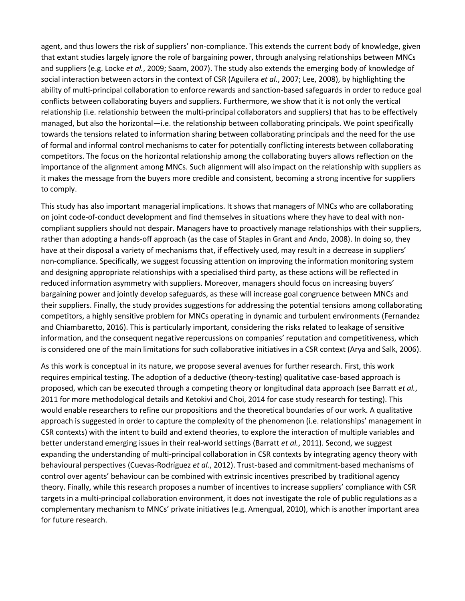agent, and thus lowers the risk of suppliers' non-compliance. This extends the current body of knowledge, given that extant studies largely ignore the role of bargaining power, through analysing relationships between MNCs and suppliers (e.g. Locke *et al.*, 2009; Saam, 2007). The study also extends the emerging body of knowledge of social interaction between actors in the context of CSR (Aguilera *et al.*, 2007; Lee, 2008), by highlighting the ability of multi-principal collaboration to enforce rewards and sanction-based safeguards in order to reduce goal conflicts between collaborating buyers and suppliers. Furthermore, we show that it is not only the vertical relationship (i.e. relationship between the multi-principal collaborators and suppliers) that has to be effectively managed, but also the horizontal—i.e. the relationship between collaborating principals. We point specifically towards the tensions related to information sharing between collaborating principals and the need for the use of formal and informal control mechanisms to cater for potentially conflicting interests between collaborating competitors. The focus on the horizontal relationship among the collaborating buyers allows reflection on the importance of the alignment among MNCs. Such alignment will also impact on the relationship with suppliers as it makes the message from the buyers more credible and consistent, becoming a strong incentive for suppliers to comply.

This study has also important managerial implications. It shows that managers of MNCs who are collaborating on joint code-of-conduct development and find themselves in situations where they have to deal with noncompliant suppliers should not despair. Managers have to proactively manage relationships with their suppliers, rather than adopting a hands-off approach (as the case of Staples in Grant and Ando, 2008). In doing so, they have at their disposal a variety of mechanisms that, if effectively used, may result in a decrease in suppliers' non-compliance. Specifically, we suggest focussing attention on improving the information monitoring system and designing appropriate relationships with a specialised third party, as these actions will be reflected in reduced information asymmetry with suppliers. Moreover, managers should focus on increasing buyers' bargaining power and jointly develop safeguards, as these will increase goal congruence between MNCs and their suppliers. Finally, the study provides suggestions for addressing the potential tensions among collaborating competitors, a highly sensitive problem for MNCs operating in dynamic and turbulent environments (Fernandez and Chiambaretto, 2016). This is particularly important, considering the risks related to leakage of sensitive information, and the consequent negative repercussions on companies' reputation and competitiveness, which is considered one of the main limitations for such collaborative initiatives in a CSR context (Arya and Salk, 2006).

As this work is conceptual in its nature, we propose several avenues for further research. First, this work requires empirical testing. The adoption of a deductive (theory-testing) qualitative case-based approach is proposed, which can be executed through a competing theory or longitudinal data approach (see Barratt *et al.*, 2011 for more methodological details and Ketokivi and Choi, 2014 for case study research for testing). This would enable researchers to refine our propositions and the theoretical boundaries of our work. A qualitative approach is suggested in order to capture the complexity of the phenomenon (i.e. relationships' management in CSR contexts) with the intent to build and extend theories, to explore the interaction of multiple variables and better understand emerging issues in their real-world settings (Barratt *et al.*, 2011). Second, we suggest expanding the understanding of multi-principal collaboration in CSR contexts by integrating agency theory with behavioural perspectives (Cuevas-Rodríguez *et al.*, 2012). Trust-based and commitment-based mechanisms of control over agents' behaviour can be combined with extrinsic incentives prescribed by traditional agency theory. Finally, while this research proposes a number of incentives to increase suppliers' compliance with CSR targets in a multi-principal collaboration environment, it does not investigate the role of public regulations as a complementary mechanism to MNCs' private initiatives (e.g. Amengual, 2010), which is another important area for future research.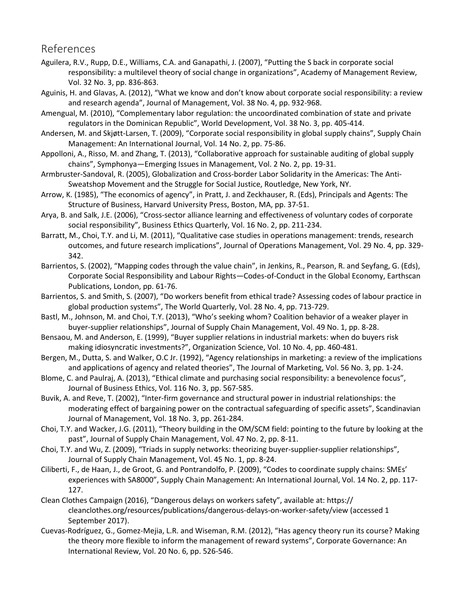# References

- Aguilera, R.V., Rupp, D.E., Williams, C.A. and Ganapathi, J. (2007), "Putting the S back in corporate social responsibility: a multilevel theory of social change in organizations", Academy of Management Review, Vol. 32 No. 3, pp. 836-863.
- Aguinis, H. and Glavas, A. (2012), "What we know and don't know about corporate social responsibility: a review and research agenda", Journal of Management, Vol. 38 No. 4, pp. 932-968.
- Amengual, M. (2010), "Complementary labor regulation: the uncoordinated combination of state and private regulators in the Dominican Republic", World Development, Vol. 38 No. 3, pp. 405-414.
- Andersen, M. and Skjøtt-Larsen, T. (2009), "Corporate social responsibility in global supply chains", Supply Chain Management: An International Journal, Vol. 14 No. 2, pp. 75-86.
- Appolloni, A., Risso, M. and Zhang, T. (2013), "Collaborative approach for sustainable auditing of global supply chains", Symphonya—Emerging Issues in Management, Vol. 2 No. 2, pp. 19-31.
- Armbruster-Sandoval, R. (2005), Globalization and Cross-border Labor Solidarity in the Americas: The Anti-Sweatshop Movement and the Struggle for Social Justice, Routledge, New York, NY.
- Arrow, K. (1985), "The economics of agency", in Pratt, J. and Zeckhauser, R. (Eds), Principals and Agents: The Structure of Business, Harvard University Press, Boston, MA, pp. 37-51.
- Arya, B. and Salk, J.E. (2006), "Cross-sector alliance learning and effectiveness of voluntary codes of corporate social responsibility", Business Ethics Quarterly, Vol. 16 No. 2, pp. 211-234.
- Barratt, M., Choi, T.Y. and Li, M. (2011), "Qualitative case studies in operations management: trends, research outcomes, and future research implications", Journal of Operations Management, Vol. 29 No. 4, pp. 329- 342.
- Barrientos, S. (2002), "Mapping codes through the value chain", in Jenkins, R., Pearson, R. and Seyfang, G. (Eds), Corporate Social Responsibility and Labour Rights—Codes-of-Conduct in the Global Economy, Earthscan Publications, London, pp. 61-76.
- Barrientos, S. and Smith, S. (2007), "Do workers benefit from ethical trade? Assessing codes of labour practice in global production systems", The World Quarterly, Vol. 28 No. 4, pp. 713-729.
- Bastl, M., Johnson, M. and Choi, T.Y. (2013), "Who's seeking whom? Coalition behavior of a weaker player in buyer-supplier relationships", Journal of Supply Chain Management, Vol. 49 No. 1, pp. 8-28.
- Bensaou, M. and Anderson, E. (1999), "Buyer supplier relations in industrial markets: when do buyers risk making idiosyncratic investments?", Organization Science, Vol. 10 No. 4, pp. 460-481.
- Bergen, M., Dutta, S. and Walker, O.C Jr. (1992), "Agency relationships in marketing: a review of the implications and applications of agency and related theories", The Journal of Marketing, Vol. 56 No. 3, pp. 1-24.
- Blome, C. and Paulraj, A. (2013), "Ethical climate and purchasing social responsibility: a benevolence focus", Journal of Business Ethics, Vol. 116 No. 3, pp. 567-585.
- Buvik, A. and Reve, T. (2002), "Inter-firm governance and structural power in industrial relationships: the moderating effect of bargaining power on the contractual safeguarding of specific assets", Scandinavian Journal of Management, Vol. 18 No. 3, pp. 261-284.
- Choi, T.Y. and Wacker, J.G. (2011), "Theory building in the OM/SCM field: pointing to the future by looking at the past", Journal of Supply Chain Management, Vol. 47 No. 2, pp. 8-11.
- Choi, T.Y. and Wu, Z. (2009), "Triads in supply networks: theorizing buyer-supplier-supplier relationships", Journal of Supply Chain Management, Vol. 45 No. 1, pp. 8-24.
- Ciliberti, F., de Haan, J., de Groot, G. and Pontrandolfo, P. (2009), "Codes to coordinate supply chains: SMEs' experiences with SA8000", Supply Chain Management: An International Journal, Vol. 14 No. 2, pp. 117- 127.
- Clean Clothes Campaign (2016), "Dangerous delays on workers safety", available at: https:// cleanclothes.org/resources/publications/dangerous-delays-on-worker-safety/view (accessed 1 September 2017).
- Cuevas-Rodríguez, G., Gomez-Mejia, L.R. and Wiseman, R.M. (2012), "Has agency theory run its course? Making the theory more flexible to inform the management of reward systems", Corporate Governance: An International Review, Vol. 20 No. 6, pp. 526-546.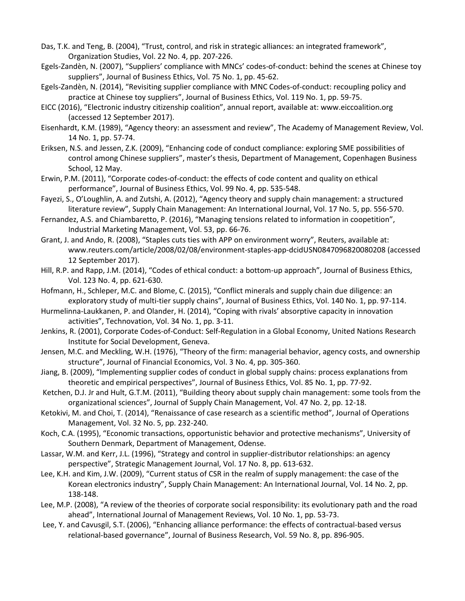- Das, T.K. and Teng, B. (2004), "Trust, control, and risk in strategic alliances: an integrated framework", Organization Studies, Vol. 22 No. 4, pp. 207-226.
- Egels-Zandèn, N. (2007), "Suppliers' compliance with MNCs' codes-of-conduct: behind the scenes at Chinese toy suppliers", Journal of Business Ethics, Vol. 75 No. 1, pp. 45-62.
- Egels-Zandèn, N. (2014), "Revisiting supplier compliance with MNC Codes-of-conduct: recoupling policy and practice at Chinese toy suppliers", Journal of Business Ethics, Vol. 119 No. 1, pp. 59-75.
- EICC (2016), "Electronic industry citizenship coalition", annual report, available at: www.eiccoalition.org (accessed 12 September 2017).
- Eisenhardt, K.M. (1989), "Agency theory: an assessment and review", The Academy of Management Review, Vol. 14 No. 1, pp. 57-74.
- Eriksen, N.S. and Jessen, Z.K. (2009), "Enhancing code of conduct compliance: exploring SME possibilities of control among Chinese suppliers", master's thesis, Department of Management, Copenhagen Business School, 12 May.
- Erwin, P.M. (2011), "Corporate codes-of-conduct: the effects of code content and quality on ethical performance", Journal of Business Ethics, Vol. 99 No. 4, pp. 535-548.
- Fayezi, S., O'Loughlin, A. and Zutshi, A. (2012), "Agency theory and supply chain management: a structured literature review", Supply Chain Management: An International Journal, Vol. 17 No. 5, pp. 556-570.
- Fernandez, A.S. and Chiambaretto, P. (2016), "Managing tensions related to information in coopetition", Industrial Marketing Management, Vol. 53, pp. 66-76.
- Grant, J. and Ando, R. (2008), "Staples cuts ties with APP on environment worry", Reuters, available at: www.reuters.com/article/2008/02/08/environment-staples-app-dcidUSN0847096820080208 (accessed 12 September 2017).
- Hill, R.P. and Rapp, J.M. (2014), "Codes of ethical conduct: a bottom-up approach", Journal of Business Ethics, Vol. 123 No. 4, pp. 621-630.
- Hofmann, H., Schleper, M.C. and Blome, C. (2015), "Conflict minerals and supply chain due diligence: an exploratory study of multi-tier supply chains", Journal of Business Ethics, Vol. 140 No. 1, pp. 97-114.
- Hurmelinna-Laukkanen, P. and Olander, H. (2014), "Coping with rivals' absorptive capacity in innovation activities", Technovation, Vol. 34 No. 1, pp. 3-11.
- Jenkins, R. (2001), Corporate Codes-of-Conduct: Self-Regulation in a Global Economy, United Nations Research Institute for Social Development, Geneva.
- Jensen, M.C. and Meckling, W.H. (1976), "Theory of the firm: managerial behavior, agency costs, and ownership structure", Journal of Financial Economics, Vol. 3 No. 4, pp. 305-360.
- Jiang, B. (2009), "Implementing supplier codes of conduct in global supply chains: process explanations from theoretic and empirical perspectives", Journal of Business Ethics, Vol. 85 No. 1, pp. 77-92.
- Ketchen, D.J. Jr and Hult, G.T.M. (2011), "Building theory about supply chain management: some tools from the organizational sciences", Journal of Supply Chain Management, Vol. 47 No. 2, pp. 12-18.
- Ketokivi, M. and Choi, T. (2014), "Renaissance of case research as a scientific method", Journal of Operations Management, Vol. 32 No. 5, pp. 232-240.
- Koch, C.A. (1995), "Economic transactions, opportunistic behavior and protective mechanisms", University of Southern Denmark, Department of Management, Odense.
- Lassar, W.M. and Kerr, J.L. (1996), "Strategy and control in supplier-distributor relationships: an agency perspective", Strategic Management Journal, Vol. 17 No. 8, pp. 613-632.
- Lee, K.H. and Kim, J.W. (2009), "Current status of CSR in the realm of supply management: the case of the Korean electronics industry", Supply Chain Management: An International Journal, Vol. 14 No. 2, pp. 138-148.
- Lee, M.P. (2008), "A review of the theories of corporate social responsibility: its evolutionary path and the road ahead", International Journal of Management Reviews, Vol. 10 No. 1, pp. 53-73.
- Lee, Y. and Cavusgil, S.T. (2006), "Enhancing alliance performance: the effects of contractual-based versus relational-based governance", Journal of Business Research, Vol. 59 No. 8, pp. 896-905.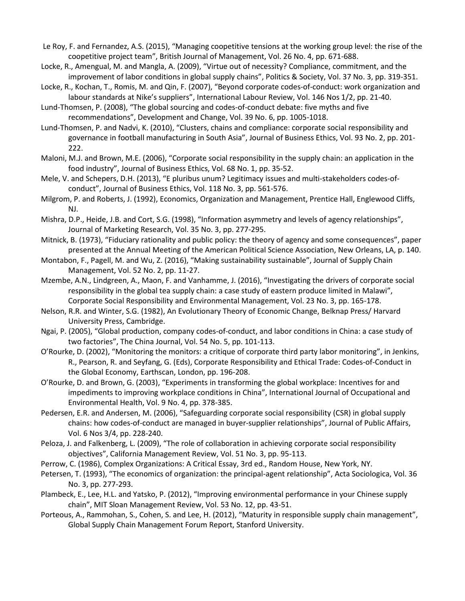- Le Roy, F. and Fernandez, A.S. (2015), "Managing coopetitive tensions at the working group level: the rise of the coopetitive project team", British Journal of Management, Vol. 26 No. 4, pp. 671-688.
- Locke, R., Amengual, M. and Mangla, A. (2009), "Virtue out of necessity? Compliance, commitment, and the improvement of labor conditions in global supply chains", Politics & Society, Vol. 37 No. 3, pp. 319-351.
- Locke, R., Kochan, T., Romis, M. and Qin, F. (2007), "Beyond corporate codes-of-conduct: work organization and labour standards at Nike's suppliers", International Labour Review, Vol. 146 Nos 1/2, pp. 21-40.
- Lund-Thomsen, P. (2008), "The global sourcing and codes-of-conduct debate: five myths and five recommendations", Development and Change, Vol. 39 No. 6, pp. 1005-1018.
- Lund-Thomsen, P. and Nadvi, K. (2010), "Clusters, chains and compliance: corporate social responsibility and governance in football manufacturing in South Asia", Journal of Business Ethics, Vol. 93 No. 2, pp. 201- 222.
- Maloni, M.J. and Brown, M.E. (2006), "Corporate social responsibility in the supply chain: an application in the food industry", Journal of Business Ethics, Vol. 68 No. 1, pp. 35-52.
- Mele, V. and Schepers, D.H. (2013), "E pluribus unum? Legitimacy issues and multi-stakeholders codes-ofconduct", Journal of Business Ethics, Vol. 118 No. 3, pp. 561-576.
- Milgrom, P. and Roberts, J. (1992), Economics, Organization and Management, Prentice Hall, Englewood Cliffs, NJ.
- Mishra, D.P., Heide, J.B. and Cort, S.G. (1998), "Information asymmetry and levels of agency relationships", Journal of Marketing Research, Vol. 35 No. 3, pp. 277-295.
- Mitnick, B. (1973), "Fiduciary rationality and public policy: the theory of agency and some consequences", paper presented at the Annual Meeting of the American Political Science Association, New Orleans, LA, p. 140.
- Montabon, F., Pagell, M. and Wu, Z. (2016), "Making sustainability sustainable", Journal of Supply Chain Management, Vol. 52 No. 2, pp. 11-27.
- Mzembe, A.N., Lindgreen, A., Maon, F. and Vanhamme, J. (2016), "Investigating the drivers of corporate social responsibility in the global tea supply chain: a case study of eastern produce limited in Malawi", Corporate Social Responsibility and Environmental Management, Vol. 23 No. 3, pp. 165-178.
- Nelson, R.R. and Winter, S.G. (1982), An Evolutionary Theory of Economic Change, Belknap Press/ Harvard University Press, Cambridge.
- Ngai, P. (2005), "Global production, company codes-of-conduct, and labor conditions in China: a case study of two factories", The China Journal, Vol. 54 No. 5, pp. 101-113.
- O'Rourke, D. (2002), "Monitoring the monitors: a critique of corporate third party labor monitoring", in Jenkins, R., Pearson, R. and Seyfang, G. (Eds), Corporate Responsibility and Ethical Trade: Codes-of-Conduct in the Global Economy, Earthscan, London, pp. 196-208.
- O'Rourke, D. and Brown, G. (2003), "Experiments in transforming the global workplace: Incentives for and impediments to improving workplace conditions in China", International Journal of Occupational and Environmental Health, Vol. 9 No. 4, pp. 378-385.
- Pedersen, E.R. and Andersen, M. (2006), "Safeguarding corporate social responsibility (CSR) in global supply chains: how codes-of-conduct are managed in buyer-supplier relationships", Journal of Public Affairs, Vol. 6 Nos 3/4, pp. 228-240.
- Peloza, J. and Falkenberg, L. (2009), "The role of collaboration in achieving corporate social responsibility objectives", California Management Review, Vol. 51 No. 3, pp. 95-113.
- Perrow, C. (1986), Complex Organizations: A Critical Essay, 3rd ed., Random House, New York, NY.
- Petersen, T. (1993), "The economics of organization: the principal-agent relationship", Acta Sociologica, Vol. 36 No. 3, pp. 277-293.
- Plambeck, E., Lee, H.L. and Yatsko, P. (2012), "Improving environmental performance in your Chinese supply chain", MIT Sloan Management Review, Vol. 53 No. 12, pp. 43-51.
- Porteous, A., Rammohan, S., Cohen, S. and Lee, H. (2012), "Maturity in responsible supply chain management", Global Supply Chain Management Forum Report, Stanford University.